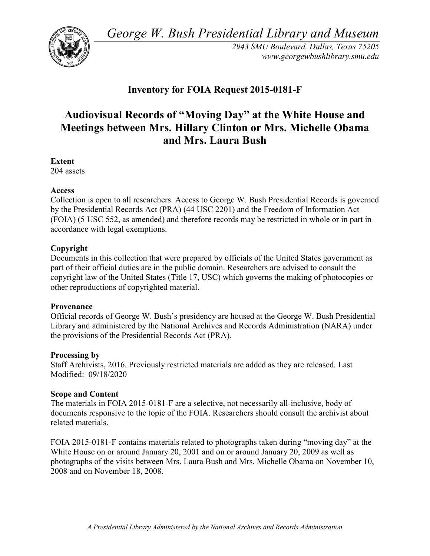*George W. Bush Presidential Library and Museum* 



 *2943 SMU Boulevard, Dallas, Texas 75205 <www.georgewbushlibrary.smu.edu>*

# **Inventory for FOIA Request 2015-0181-F**

# **Audiovisual Records of "Moving Day" at the White House and Meetings between Mrs. Hillary Clinton or Mrs. Michelle Obama and Mrs. Laura Bush**

 204 assets **Extent** 

#### **Access**

 by the Presidential Records Act (PRA) (44 USC 2201) and the Freedom of Information Act Collection is open to all researchers. Access to George W. Bush Presidential Records is governed (FOIA) (5 USC 552, as amended) and therefore records may be restricted in whole or in part in accordance with legal exemptions.

## **Copyright**

 Documents in this collection that were prepared by officials of the United States government as part of their official duties are in the public domain. Researchers are advised to consult the copyright law of the United States (Title 17, USC) which governs the making of photocopies or other reproductions of copyrighted material.

#### **Provenance**

 Official records of George W. Bush's presidency are housed at the George W. Bush Presidential Library and administered by the National Archives and Records Administration (NARA) under the provisions of the Presidential Records Act (PRA).

#### **Processing by**

 Modified: 09/18/2020 Staff Archivists, 2016. Previously restricted materials are added as they are released. Last

#### **Scope and Content**

The materials in FOIA 2015-0181-F are a selective, not necessarily all-inclusive, body of documents responsive to the topic of the FOIA. Researchers should consult the archivist about related materials.

 White House on or around January 20, 2001 and on or around January 20, 2009 as well as photographs of the visits between Mrs. Laura Bush and Mrs. Michelle Obama on November 10, FOIA 2015-0181-F contains materials related to photographs taken during "moving day" at the 2008 and on November 18, 2008.